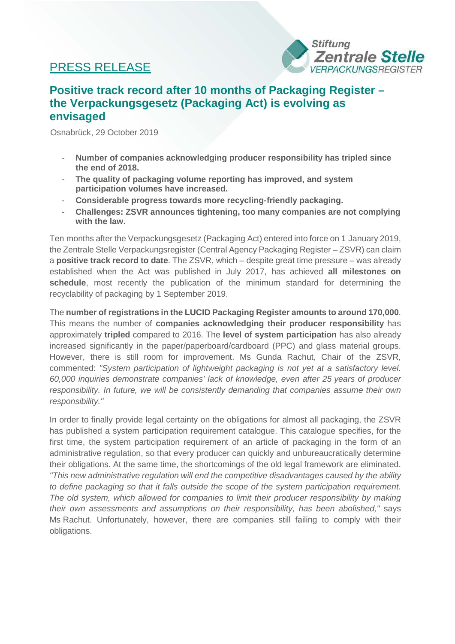## PRESS RELEASE



## **Positive track record after 10 months of Packaging Register – the Verpackungsgesetz (Packaging Act) is evolving as envisaged**

Osnabrück, 29 October 2019

- **Number of companies acknowledging producer responsibility has tripled since the end of 2018.**
- **The quality of packaging volume reporting has improved, and system participation volumes have increased.**
- **Considerable progress towards more recycling-friendly packaging.**
- **Challenges: ZSVR announces tightening, too many companies are not complying with the law.**

Ten months after the Verpackungsgesetz (Packaging Act) entered into force on 1 January 2019, the Zentrale Stelle Verpackungsregister (Central Agency Packaging Register – ZSVR) can claim a **positive track record to date**. The ZSVR, which – despite great time pressure – was already established when the Act was published in July 2017, has achieved **all milestones on schedule**, most recently the publication of the minimum standard for determining the recyclability of packaging by 1 September 2019.

The **number of registrations in the LUCID Packaging Register amounts to around 170,000**. This means the number of **companies acknowledging their producer responsibility** has approximately **tripled** compared to 2016. The **level of system participation** has also already increased significantly in the paper/paperboard/cardboard (PPC) and glass material groups. However, there is still room for improvement. Ms Gunda Rachut, Chair of the ZSVR, commented: *"System participation of lightweight packaging is not yet at a satisfactory level. 60,000 inquiries demonstrate companies' lack of knowledge, even after 25 years of producer responsibility. In future, we will be consistently demanding that companies assume their own responsibility."*

In order to finally provide legal certainty on the obligations for almost all packaging, the ZSVR has published a system participation requirement catalogue. This catalogue specifies, for the first time, the system participation requirement of an article of packaging in the form of an administrative regulation, so that every producer can quickly and unbureaucratically determine their obligations. At the same time, the shortcomings of the old legal framework are eliminated. *"This new administrative regulation will end the competitive disadvantages caused by the ability to define packaging so that it falls outside the scope of the system participation requirement. The old system, which allowed for companies to limit their producer responsibility by making their own assessments and assumptions on their responsibility, has been abolished,"* says Ms Rachut. Unfortunately, however, there are companies still failing to comply with their obligations.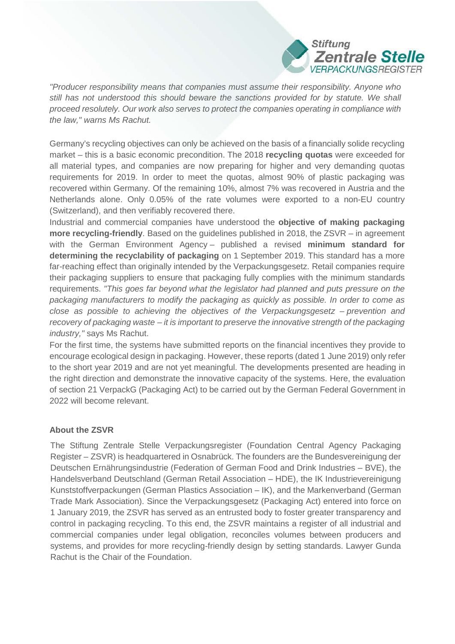

*"Producer responsibility means that companies must assume their responsibility. Anyone who*  still has not understood this should beware the sanctions provided for by statute. We shall *proceed resolutely. Our work also serves to protect the companies operating in compliance with the law," warns Ms Rachut.*

Germany's recycling objectives can only be achieved on the basis of a financially solide recycling market – this is a basic economic precondition. The 2018 **recycling quotas** were exceeded for all material types, and companies are now preparing for higher and very demanding quotas requirements for 2019. In order to meet the quotas, almost 90% of plastic packaging was recovered within Germany. Of the remaining 10%, almost 7% was recovered in Austria and the Netherlands alone. Only 0.05% of the rate volumes were exported to a non-EU country (Switzerland), and then verifiably recovered there.

Industrial and commercial companies have understood the **objective of making packaging more recycling-friendly**. Based on the guidelines published in 2018, the ZSVR – in agreement with the German Environment Agency – published a revised **minimum standard for determining the recyclability of packaging** on 1 September 2019. This standard has a more far-reaching effect than originally intended by the Verpackungsgesetz. Retail companies require their packaging suppliers to ensure that packaging fully complies with the minimum standards requirements. *"This goes far beyond what the legislator had planned and puts pressure on the packaging manufacturers to modify the packaging as quickly as possible. In order to come as close as possible to achieving the objectives of the Verpackungsgesetz – prevention and recovery of packaging waste – it is important to preserve the innovative strength of the packaging industry,"* says Ms Rachut.

For the first time, the systems have submitted reports on the financial incentives they provide to encourage ecological design in packaging. However, these reports (dated 1 June 2019) only refer to the short year 2019 and are not yet meaningful. The developments presented are heading in the right direction and demonstrate the innovative capacity of the systems. Here, the evaluation of section 21 VerpackG (Packaging Act) to be carried out by the German Federal Government in 2022 will become relevant.

## **About the ZSVR**

The Stiftung Zentrale Stelle Verpackungsregister (Foundation Central Agency Packaging Register – ZSVR) is headquartered in Osnabrück. The founders are the Bundesvereinigung der Deutschen Ernährungsindustrie (Federation of German Food and Drink Industries – BVE), the Handelsverband Deutschland (German Retail Association – HDE), the IK Industrievereinigung Kunststoffverpackungen (German Plastics Association – IK), and the Markenverband (German Trade Mark Association). Since the Verpackungsgesetz (Packaging Act) entered into force on 1 January 2019, the ZSVR has served as an entrusted body to foster greater transparency and control in packaging recycling. To this end, the ZSVR maintains a register of all industrial and commercial companies under legal obligation, reconciles volumes between producers and systems, and provides for more recycling-friendly design by setting standards. Lawyer Gunda Rachut is the Chair of the Foundation.